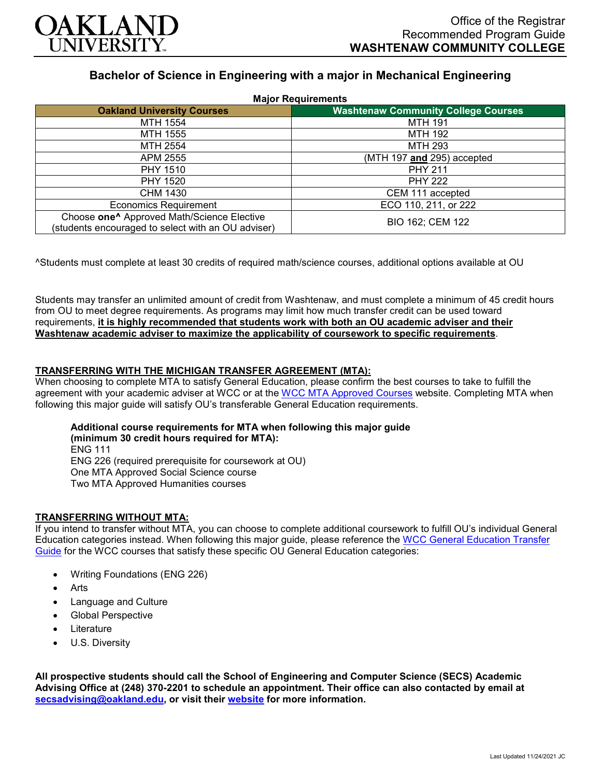

# **Bachelor of Science in Engineering with a major in Mechanical Engineering**

| <b>Major Requirements</b>                                                                                    |                                            |
|--------------------------------------------------------------------------------------------------------------|--------------------------------------------|
| <b>Oakland University Courses</b>                                                                            | <b>Washtenaw Community College Courses</b> |
| MTH 1554                                                                                                     | MTH 191                                    |
| MTH 1555                                                                                                     | <b>MTH 192</b>                             |
| MTH 2554                                                                                                     | <b>MTH 293</b>                             |
| APM 2555                                                                                                     | (MTH 197 and 295) accepted                 |
| <b>PHY 1510</b>                                                                                              | <b>PHY 211</b>                             |
| PHY 1520                                                                                                     | <b>PHY 222</b>                             |
| CHM 1430                                                                                                     | CEM 111 accepted                           |
| <b>Economics Requirement</b>                                                                                 | ECO 110, 211, or 222                       |
| Choose one <sup>^</sup> Approved Math/Science Elective<br>(students encouraged to select with an OU adviser) | BIO 162; CEM 122                           |

^Students must complete at least 30 credits of required math/science courses, additional options available at OU

Students may transfer an unlimited amount of credit from Washtenaw, and must complete a minimum of 45 credit hours from OU to meet degree requirements. As programs may limit how much transfer credit can be used toward requirements, **it is highly recommended that students work with both an OU academic adviser and their Washtenaw academic adviser to maximize the applicability of coursework to specific requirements**.

# **TRANSFERRING WITH THE MICHIGAN TRANSFER AGREEMENT (MTA):**

When choosing to complete MTA to satisfy General Education, please confirm the best courses to take to fulfill the agreement with your academic adviser at WCC or at the [WCC MTA Approved Courses](http://www.wccnet.edu/services/transferresources/mta/) website. Completing MTA when following this major guide will satisfy OU's transferable General Education requirements.

#### **Additional course requirements for MTA when following this major guide (minimum 30 credit hours required for MTA):** ENG 111 ENG 226 (required prerequisite for coursework at OU) One MTA Approved Social Science course

Two MTA Approved Humanities courses

# **TRANSFERRING WITHOUT MTA:**

If you intend to transfer without MTA, you can choose to complete additional coursework to fulfill OU's individual General Education categories instead. When following this major guide, please reference the [WCC General Education Transfer](https://www.oakland.edu/Assets/Oakland/program-guides/washtenaw-community-college/university-general-education-requirements/Washtenaw%20Gen%20Ed.pdf)  [Guide](https://www.oakland.edu/Assets/Oakland/program-guides/washtenaw-community-college/university-general-education-requirements/Washtenaw%20Gen%20Ed.pdf) for the WCC courses that satisfy these specific OU General Education categories:

- Writing Foundations (ENG 226)
- **Arts**
- Language and Culture
- Global Perspective
- **Literature**
- U.S. Diversity

**All prospective students should call the School of Engineering and Computer Science (SECS) Academic Advising Office at (248) 370-2201 to schedule an appointment. Their office can also contacted by email at [secsadvising@oakland.edu,](mailto:secsadvising@oakland.edu) or visit their [website](https://wwwp.oakland.edu/secs/advising/) for more information.**